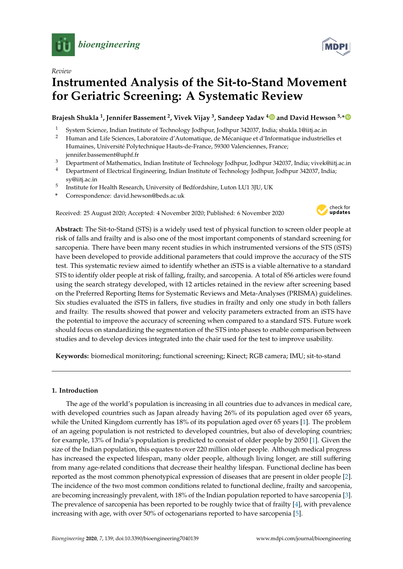

*Review*

# **Instrumented Analysis of the Sit-to-Stand Movement for Geriatric Screening: A Systematic Review**

# **Brajesh Shukla <sup>1</sup> , Jennifer Bassement <sup>2</sup> , Vivek Vijay <sup>3</sup> , Sandeep Yadav <sup>4</sup> and David Hewson 5,\***

- <sup>1</sup> System Science, Indian Institute of Technology Jodhpur, Jodhpur 342037, India; shukla.1@iitj.ac.in
- <sup>2</sup> Human and Life Sciences, Laboratoire d'Automatique, de Mécanique et d'Informatique industrielles et Humaines, Université Polytechnique Hauts-de-France, 59300 Valenciennes, France; jennifer.bassement@uphf.fr
- <sup>3</sup> Department of Mathematics, Indian Institute of Technology Jodhpur, Jodhpur 342037, India; vivek@iitj.ac.in
- <sup>4</sup> Department of Electrical Engineering, Indian Institute of Technology Jodhpur, Jodhpur 342037, India; sy@iitj.ac.in
- 5 Institute for Health Research, University of Bedfordshire, Luton LU1 3JU, UK
- **\*** Correspondence: david.hewson@beds.ac.uk

Received: 25 August 2020; Accepted: 4 November 2020; Published: 6 November 2020



**Abstract:** The Sit-to-Stand (STS) is a widely used test of physical function to screen older people at risk of falls and frailty and is also one of the most important components of standard screening for sarcopenia. There have been many recent studies in which instrumented versions of the STS (iSTS) have been developed to provide additional parameters that could improve the accuracy of the STS test. This systematic review aimed to identify whether an iSTS is a viable alternative to a standard STS to identify older people at risk of falling, frailty, and sarcopenia. A total of 856 articles were found using the search strategy developed, with 12 articles retained in the review after screening based on the Preferred Reporting Items for Systematic Reviews and Meta-Analyses (PRISMA) guidelines. Six studies evaluated the iSTS in fallers, five studies in frailty and only one study in both fallers and frailty. The results showed that power and velocity parameters extracted from an iSTS have the potential to improve the accuracy of screening when compared to a standard STS. Future work should focus on standardizing the segmentation of the STS into phases to enable comparison between studies and to develop devices integrated into the chair used for the test to improve usability.

**Keywords:** biomedical monitoring; functional screening; Kinect; RGB camera; IMU; sit-to-stand

# **1. Introduction**

The age of the world's population is increasing in all countries due to advances in medical care, with developed countries such as Japan already having 26% of its population aged over 65 years, while the United Kingdom currently has 18% of its population aged over 65 years [1]. The problem of an ageing population is not restricted to developed countries, but also of developing countries; for example, 13% of India's population is predicted to consist of older people by 2050 [1]. Given the size of the Indian population, this equates to over 220 million older people. Although medical progress has increased the expected lifespan, many older people, although living longer, are still suffering from many age-related conditions that decrease their healthy lifespan. Functional decline has been reported as the most common phenotypical expression of diseases that are present in older people [2]. The incidence of the two most common conditions related to functional decline, frailty and sarcopenia, are becoming increasingly prevalent, with 18% of the Indian population reported to have sarcopenia [3]. The prevalence of sarcopenia has been reported to be roughly twice that of frailty [4], with prevalence increasing with age, with over 50% of octogenarians reported to have sarcopenia [5].

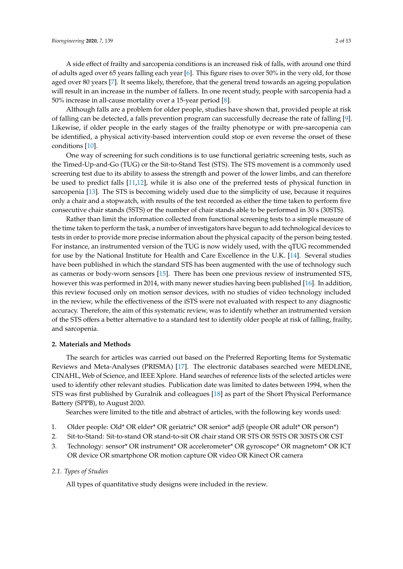A side effect of frailty and sarcopenia conditions is an increased risk of falls, with around one third of adults aged over 65 years falling each year [6]. This figure rises to over 50% in the very old, for those aged over 80 years [7]. It seems likely, therefore, that the general trend towards an ageing population will result in an increase in the number of fallers. In one recent study, people with sarcopenia had a 50% increase in all-cause mortality over a 15-year period [8].

Although falls are a problem for older people, studies have shown that, provided people at risk of falling can be detected, a falls prevention program can successfully decrease the rate of falling [9]. Likewise, if older people in the early stages of the frailty phenotype or with pre-sarcopenia can be identified, a physical activity-based intervention could stop or even reverse the onset of these conditions [10].

One way of screening for such conditions is to use functional geriatric screening tests, such as the Timed-Up-and-Go (TUG) or the Sit-to-Stand Test (STS). The STS movement is a commonly used screening test due to its ability to assess the strength and power of the lower limbs, and can therefore be used to predict falls [11,12], while it is also one of the preferred tests of physical function in sarcopenia [13]. The STS is becoming widely used due to the simplicity of use, because it requires only a chair and a stopwatch, with results of the test recorded as either the time taken to perform five consecutive chair stands (5STS) or the number of chair stands able to be performed in 30 s (30STS).

Rather than limit the information collected from functional screening tests to a simple measure of the time taken to perform the task, a number of investigators have begun to add technological devices to tests in order to provide more precise information about the physical capacity of the person being tested. For instance, an instrumented version of the TUG is now widely used, with the qTUG recommended for use by the National Institute for Health and Care Excellence in the U.K. [14]. Several studies have been published in which the standard STS has been augmented with the use of technology such as cameras or body-worn sensors [15]. There has been one previous review of instrumented STS, however this was performed in 2014, with many newer studies having been published [16]. In addition, this review focused only on motion sensor devices, with no studies of video technology included in the review, while the effectiveness of the iSTS were not evaluated with respect to any diagnostic accuracy. Therefore, the aim of this systematic review, was to identify whether an instrumented version of the STS offers a better alternative to a standard test to identify older people at risk of falling, frailty, and sarcopenia.

## **2. Materials and Methods**

The search for articles was carried out based on the Preferred Reporting Items for Systematic Reviews and Meta-Analyses (PRISMA) [17]. The electronic databases searched were MEDLINE, CINAHL, Web of Science, and IEEE Xplore. Hand searches of reference lists of the selected articles were used to identify other relevant studies. Publication date was limited to dates between 1994, when the STS was first published by Guralnik and colleagues [18] as part of the Short Physical Performance Battery (SPPB), to August 2020.

Searches were limited to the title and abstract of articles, with the following key words used:

- 1. Older people: Old\* OR elder\* OR geriatric\* OR senior\* adj5 (people OR adult\* OR person\*)
- 2. Sit-to-Stand: Sit-to-stand OR stand-to-sit OR chair stand OR STS OR 5STS OR 30STS OR CST
- 3. Technology: sensor\* OR instrument\* OR accelerometer\* OR gyroscope\* OR magnetom\* OR ICT OR device OR smartphone OR motion capture OR video OR Kinect OR camera

#### *2.1. Types of Studies*

All types of quantitative study designs were included in the review.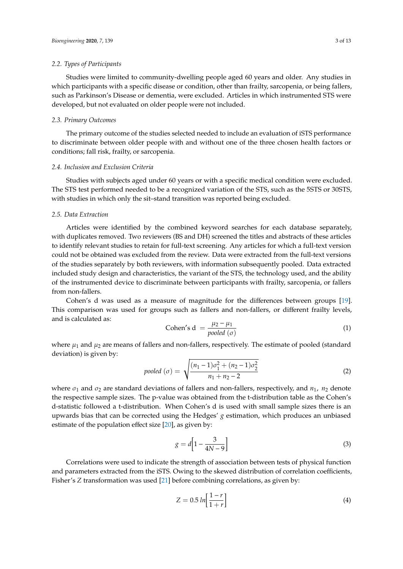#### *2.2. Types of Participants*

Studies were limited to community-dwelling people aged 60 years and older. Any studies in which participants with a specific disease or condition, other than frailty, sarcopenia, or being fallers, such as Parkinson's Disease or dementia, were excluded. Articles in which instrumented STS were developed, but not evaluated on older people were not included.

#### *2.3. Primary Outcomes*

The primary outcome of the studies selected needed to include an evaluation of iSTS performance to discriminate between older people with and without one of the three chosen health factors or conditions; fall risk, frailty, or sarcopenia.

# *2.4. Inclusion and Exclusion Criteria*

Studies with subjects aged under 60 years or with a specific medical condition were excluded. The STS test performed needed to be a recognized variation of the STS, such as the 5STS or 30STS, with studies in which only the sit–stand transition was reported being excluded.

## *2.5. Data Extraction*

Articles were identified by the combined keyword searches for each database separately, with duplicates removed. Two reviewers (BS and DH) screened the titles and abstracts of these articles to identify relevant studies to retain for full-text screening. Any articles for which a full-text version could not be obtained was excluded from the review. Data were extracted from the full-text versions of the studies separately by both reviewers, with information subsequently pooled. Data extracted included study design and characteristics, the variant of the STS, the technology used, and the ability of the instrumented device to discriminate between participants with frailty, sarcopenia, or fallers from non-fallers.

Cohen's d was used as a measure of magnitude for the differences between groups [19]. This comparison was used for groups such as fallers and non-fallers, or different frailty levels, and is calculated as:

Cohen's d = 
$$
\frac{\mu_2 - \mu_1}{pooled(\sigma)}
$$
 (1)

where  $\mu_1$  and  $\mu_2$  are means of fallers and non-fallers, respectively. The estimate of pooled (standard deviation) is given by:

$$
pooled\ (\sigma) = \sqrt{\frac{(n_1 - 1)\sigma_1^2 + (n_2 - 1)\sigma_2^2}{n_1 + n_2 - 2}}
$$
\n(2)

where  $\sigma_1$  and  $\sigma_2$  are standard deviations of fallers and non-fallers, respectively, and  $n_1$ ,  $n_2$  denote the respective sample sizes. The p-value was obtained from the t-distribution table as the Cohen's d-statistic followed a t-distribution. When Cohen's d is used with small sample sizes there is an upwards bias that can be corrected using the Hedges' *g* estimation, which produces an unbiased estimate of the population effect size [20], as given by:

$$
g = d\left[1 - \frac{3}{4N - 9}\right] \tag{3}
$$

Correlations were used to indicate the strength of association between tests of physical function and parameters extracted from the iSTS. Owing to the skewed distribution of correlation coefficients, Fisher's *Z* transformation was used [21] before combining correlations, as given by:

$$
Z = 0.5 \ln\left[\frac{1-r}{1+r}\right] \tag{4}
$$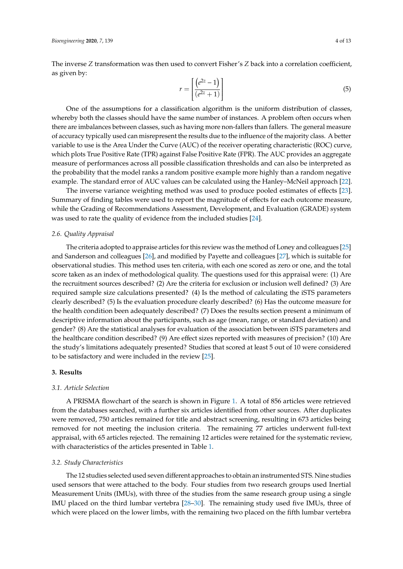The inverse *Z* transformation was then used to convert Fisher's *Z* back into a correlation coefficient, as given by:

$$
r = \left[\frac{\left(e^{2z} - 1\right)}{\left(e^{2z} + 1\right)}\right] \tag{5}
$$

One of the assumptions for a classification algorithm is the uniform distribution of classes, whereby both the classes should have the same number of instances. A problem often occurs when there are imbalances between classes, such as having more non-fallers than fallers. The general measure of accuracy typically used can misrepresent the results due to the influence of the majority class. A better variable to use is the Area Under the Curve (AUC) of the receiver operating characteristic (ROC) curve, which plots True Positive Rate (TPR) against False Positive Rate (FPR). The AUC provides an aggregate measure of performances across all possible classification thresholds and can also be interpreted as the probability that the model ranks a random positive example more highly than a random negative example. The standard error of AUC values can be calculated using the Hanley–McNeil approach [22].

The inverse variance weighting method was used to produce pooled estimates of effects [23]. Summary of finding tables were used to report the magnitude of effects for each outcome measure, while the Grading of Recommendations Assessment, Development, and Evaluation (GRADE) system was used to rate the quality of evidence from the included studies [24].

#### *2.6. Quality Appraisal*

The criteria adopted to appraise articles for this review was the method of Loney and colleagues [25] and Sanderson and colleagues [26], and modified by Payette and colleagues [27], which is suitable for observational studies. This method uses ten criteria, with each one scored as zero or one, and the total score taken as an index of methodological quality. The questions used for this appraisal were: (1) Are the recruitment sources described? (2) Are the criteria for exclusion or inclusion well defined? (3) Are required sample size calculations presented? (4) Is the method of calculating the iSTS parameters clearly described? (5) Is the evaluation procedure clearly described? (6) Has the outcome measure for the health condition been adequately described? (7) Does the results section present a minimum of descriptive information about the participants, such as age (mean, range, or standard deviation) and gender? (8) Are the statistical analyses for evaluation of the association between iSTS parameters and the healthcare condition described? (9) Are effect sizes reported with measures of precision? (10) Are the study's limitations adequately presented? Studies that scored at least 5 out of 10 were considered to be satisfactory and were included in the review [25].

# **3. Results**

#### *3.1. Article Selection*

A PRISMA flowchart of the search is shown in Figure 1. A total of 856 articles were retrieved from the databases searched, with a further six articles identified from other sources. After duplicates were removed, 750 articles remained for title and abstract screening, resulting in 673 articles being removed for not meeting the inclusion criteria. The remaining 77 articles underwent full-text appraisal, with 65 articles rejected. The remaining 12 articles were retained for the systematic review, with characteristics of the articles presented in Table 1.

#### *3.2. Study Characteristics*

The 12 studies selected used seven different approaches to obtain an instrumented STS. Nine studies used sensors that were attached to the body. Four studies from two research groups used Inertial Measurement Units (IMUs), with three of the studies from the same research group using a single IMU placed on the third lumbar vertebra [28–30]. The remaining study used five IMUs, three of which were placed on the lower limbs, with the remaining two placed on the fifth lumbar vertebra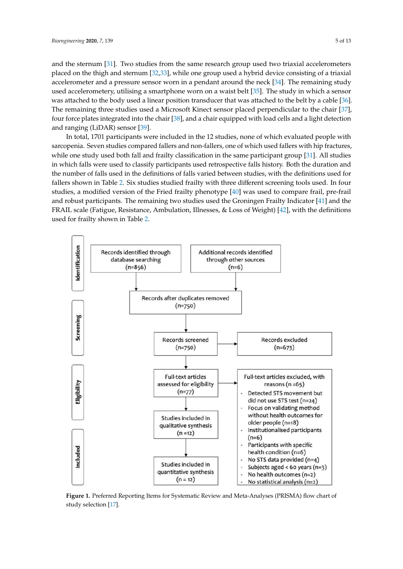and the sternum [31]. Two studies from the same research group used two triaxial accelerometers placed on the thigh and sternum [32,33], while one group used a hybrid device consisting of a triaxial accelerometer and a pressure sensor worn in a pendant around the neck [34]. The remaining study used accelerometery, utilising a smartphone worn on a waist belt [35]. The study in which a sensor was attached to the body used a linear position transducer that was attached to the belt by a cable [36]. The remaining three studies used a Microsoft Kinect sensor placed perpendicular to the chair [37], four force plates integrated into the chair [38], and a chair equipped with load cells and a light detection and ranging (LiDAR) sensor [39].

In total, 1701 participants were included in the 12 studies, none of which evaluated people with sarcopenia. Seven studies compared fallers and non-fallers, one of which used fallers with hip fractures, while one study used both fall and frailty classification in the same participant group [31]. All studies in which falls were used to classify participants used retrospective falls history. Both the duration and the number of falls used in the definitions of falls varied between studies, with the definitions used for fallers shown in Table 2. Six studies studied frailty with three different screening tools used. In four studies, a modified version of the Fried frailty phenotype [40] was used to compare frail, pre-frail and robust participants. The remaining two studies used the Groningen Frailty Indicator [41] and the FRAIL scale (Fatigue, Resistance, Ambulation, Illnesses, & Loss of Weight) [42], with the definitions used for frailty shown in Table 2.



**Figure 1.** Preferred Reporting Items for Systematic Review and Meta-Analyses (PRISMA) flow chart of study selection [17].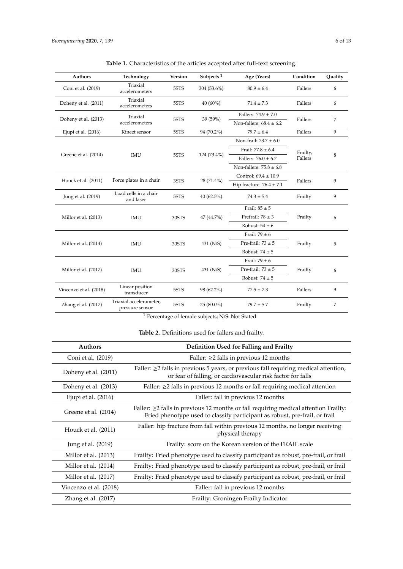| <b>Authors</b>         | Technology                                 | <b>Version</b> | Subjects <sup>1</sup> | Age (Years)                  | Condition | Ouality        |
|------------------------|--------------------------------------------|----------------|-----------------------|------------------------------|-----------|----------------|
| Coni et al. (2019)     | Triaxial<br>accelerometers                 | 5STS           | 304 (53.6%)           | $80.9 \pm 6.4$               | Fallers   | 6              |
| Doheny et al. (2011)   | Triaxial<br>accelerometers                 | 5STS           | 40 (60%)              | $71.4 \pm 7.3$               | Fallers   | 6              |
| Doheny et al. (2013)   | Triaxial<br>accelerometers                 | 5STS           | 39 (59%)              | Fallers: $74.9 \pm 7.0$      |           | $\overline{7}$ |
|                        |                                            |                |                       | Non-fallers: $68.4 \pm 6.2$  | Fallers   |                |
| Ejupi et al. (2016)    | Kinect sensor                              | 5STS           | 94 (70.2%)            | $79.7 \pm 6.4$               | Fallers   | 9              |
|                        | IMU                                        | 5STS           | 124 (73.4%)           | Non-frail: $73.7 \pm 6.0$    |           | 8              |
|                        |                                            |                |                       | Frail: $77.8 \pm 6.4$        | Frailty,  |                |
| Greene et al. (2014)   |                                            |                |                       | Fallers: $76.0 \pm 6.2$      | Fallers   |                |
|                        |                                            |                |                       | Non-fallers: $75.8 \pm 6.8$  |           |                |
| Houck et al. (2011)    | Force plates in a chair                    | 3STS           | 28 (71.4%)            | Control: $69.4 \pm 10.9$     |           | 9              |
|                        |                                            |                |                       | Hip fracture: $76.4 \pm 7.1$ | Fallers   |                |
| Jung et al. (2019)     | Load cells in a chair<br>and laser         | 5STS           | 40 $(62.5\%)$         | $74.3 \pm 5.4$               | Frailty   | 9              |
| Millor et al. (2013)   | <b>IMU</b>                                 | 30STS          | 47 (44.7%)            | Frail: $85 \pm 5$            |           | 6              |
|                        |                                            |                |                       | Prefrail: $78 \pm 3$         | Frailty   |                |
|                        |                                            |                |                       | Robust: $54 \pm 6$           |           |                |
|                        |                                            |                |                       | Frail: 79 $\pm$ 6            | Frailty   | 5              |
| Millor et al. (2014)   | <b>IMU</b>                                 | 30STS          | 431 (N/S)             | Pre-frail: $73 \pm 5$        |           |                |
|                        |                                            |                |                       | Robust: $74 \pm 5$           |           |                |
| Millor et al. (2017)   | <b>IMU</b>                                 | 30STS          | 431 (N/S)             | Frail: 79 $\pm$ 6            | Frailty   | 6              |
|                        |                                            |                |                       | Pre-frail: $73 \pm 5$        |           |                |
|                        |                                            |                |                       | Robust: $74 \pm 5$           |           |                |
| Vincenzo et al. (2018) | Linear position<br>transducer              | 5STS           | 98 (62.2%)            | $77.5 \pm 7.3$               | Fallers   | 9              |
| Zhang et al. (2017)    | Triaxial accelerometer,<br>pressure sensor | 5STS           | 25 (80.0%)            | $79.7 \pm 5.7$               | Frailty   | 7              |

**Table 1.** Characteristics of the articles accepted after full-text screening.

<sup>1</sup> Percentage of female subjects; N/S: Not Stated.

# **Table 2.** Definitions used for fallers and frailty.

| Authors                | Definition Used for Falling and Frailty                                                                                                                                  |  |  |
|------------------------|--------------------------------------------------------------------------------------------------------------------------------------------------------------------------|--|--|
| Coni et al. (2019)     | Faller: $\geq$ 2 falls in previous 12 months                                                                                                                             |  |  |
| Doheny et al. (2011)   | Faller: $\geq$ 2 falls in previous 5 years, or previous fall requiring medical attention,<br>or fear of falling, or cardiovascular risk factor for falls                 |  |  |
| Doheny et al. (2013)   | Faller: $\geq$ 2 falls in previous 12 months or fall requiring medical attention                                                                                         |  |  |
| Ejupi et al. $(2016)$  | Faller: fall in previous 12 months                                                                                                                                       |  |  |
| Greene et al. (2014)   | Faller: $\geq$ 2 falls in previous 12 months or fall requiring medical attention Frailty:<br>Fried phenotype used to classify participant as robust, pre-frail, or frail |  |  |
| Houck et al. (2011)    | Faller: hip fracture from fall within previous 12 months, no longer receiving<br>physical therapy                                                                        |  |  |
| Jung et al. (2019)     | Frailty: score on the Korean version of the FRAIL scale                                                                                                                  |  |  |
| Millor et al. (2013)   | Frailty: Fried phenotype used to classify participant as robust, pre-frail, or frail                                                                                     |  |  |
| Millor et al. (2014)   | Frailty: Fried phenotype used to classify participant as robust, pre-frail, or frail                                                                                     |  |  |
| Millor et al. (2017)   | Frailty: Fried phenotype used to classify participant as robust, pre-frail, or frail                                                                                     |  |  |
| Vincenzo et al. (2018) | Faller: fall in previous 12 months                                                                                                                                       |  |  |
| Zhang et al. (2017)    | Frailty: Groningen Frailty Indicator                                                                                                                                     |  |  |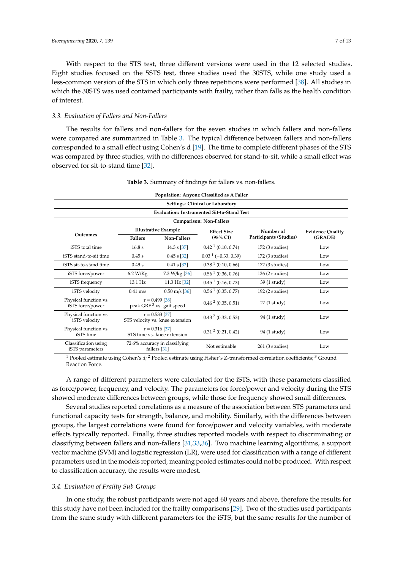With respect to the STS test, three different versions were used in the 12 selected studies. Eight studies focused on the 5STS test, three studies used the 30STS, while one study used a less-common version of the STS in which only three repetitions were performed [38]. All studies in which the 30STS was used contained participants with frailty, rather than falls as the health condition of interest.

#### *3.3. Evaluation of Fallers and Non-Fallers*

The results for fallers and non-fallers for the seven studies in which fallers and non-fallers were compared are summarized in Table 3. The typical difference between fallers and non-fallers corresponded to a small effect using Cohen's d [19]. The time to complete different phases of the STS was compared by three studies, with no differences observed for stand-to-sit, while a small effect was observed for sit-to-stand time [32].

| Population: Anyone Classified as A Faller  |                                                          |                         |                       |                               |                         |  |
|--------------------------------------------|----------------------------------------------------------|-------------------------|-----------------------|-------------------------------|-------------------------|--|
| Settings: Clinical or Laboratory           |                                                          |                         |                       |                               |                         |  |
| Evaluation: Instrumented Sit-to-Stand Test |                                                          |                         |                       |                               |                         |  |
| <b>Comparison: Non-Fallers</b>             |                                                          |                         |                       |                               |                         |  |
| Outcomes                                   | <b>Illustrative Example</b>                              |                         | <b>Effect Size</b>    | Number of                     | <b>Evidence Quality</b> |  |
|                                            | <b>Fallers</b>                                           | Non-Fallers             | $(95\% \text{ CI})$   | <b>Participants (Studies)</b> | (GRADE)                 |  |
| iSTS total time                            | 16.8 s                                                   | 14.3 s [37]             | $0.421$ (0.10, 0.74)  | 172 (3 studies)               | Low                     |  |
| iSTS stand-to-sit time                     | 0.45 s                                                   | 0.45 s [32]             | $0.031$ (-0.33, 0.39) | 172 (3 studies)               | Low                     |  |
| iSTS sit-to-stand time                     | 0.49 s                                                   | 0.41 s [32]             | $0.381$ (0.10, 0.66)  | $172$ (3 studies)             | Low                     |  |
| iSTS force/power                           | 6.2 W/Kg                                                 | 7.3 W/kg [36]           | $0.561$ (0.36, 0.76)  | 126 (2 studies)               | Low                     |  |
| iSTS frequency                             | 13.1 Hz                                                  | $11.3 \text{ Hz}$ [32]  | $0.451$ (0.16, 0.73)  | 39 (1 study)                  | Low                     |  |
| iSTS velocity                              | $0.41 \text{ m/s}$                                       | $0.50 \text{ m/s}$ [36] | $0.561$ (0.35, 0.77)  | 192 (2 studies)               | Low                     |  |
| Physical function vs.<br>iSTS force/power  | $r = 0.499$ [38]<br>peak GRF <sup>3</sup> vs. gait speed |                         | $0.462$ (0.35, 0.51)  | $27(1$ study)                 | Low                     |  |
| Physical function vs.<br>iSTS velocity     | $r = 0.533$ [37]<br>STS velocity vs. knee extension      |                         | $0.432$ (0.33, 0.53)  | 94 (1 study)                  | Low                     |  |
| Physical function vs.<br>iSTS time         | $r = 0.316$ [37]<br>STS time vs. knee extension          |                         | $0.312$ (0.21, 0.42)  | 94 (1 study)                  | Low                     |  |
| Classification using<br>iSTS parameters    | 72.6% accuracy in classifying<br>fallers [31]            |                         | Not estimable         | 261 (3 studies)               | Low                     |  |

**Table 3.** Summary of findings for fallers vs. non-fallers.

<sup>1</sup> Pooled estimate using Cohen's *d*; <sup>2</sup> Pooled estimate using Fisher's Z-transformed correlation coefficients; <sup>3</sup> Ground Reaction Force.

A range of different parameters were calculated for the iSTS, with these parameters classified as force/power, frequency, and velocity. The parameters for force/power and velocity during the STS showed moderate differences between groups, while those for frequency showed small differences.

Several studies reported correlations as a measure of the association between STS parameters and functional capacity tests for strength, balance, and mobility. Similarly, with the differences between groups, the largest correlations were found for force/power and velocity variables, with moderate effects typically reported. Finally, three studies reported models with respect to discriminating or classifying between fallers and non-fallers [31,33,36]. Two machine learning algorithms, a support vector machine (SVM) and logistic regression (LR), were used for classification with a range of different parameters used in the models reported, meaning pooled estimates could not be produced. With respect to classification accuracy, the results were modest.

#### *3.4. Evaluation of Frailty Sub-Groups*

In one study, the robust participants were not aged 60 years and above, therefore the results for this study have not been included for the frailty comparisons [29]. Two of the studies used participants from the same study with different parameters for the iSTS, but the same results for the number of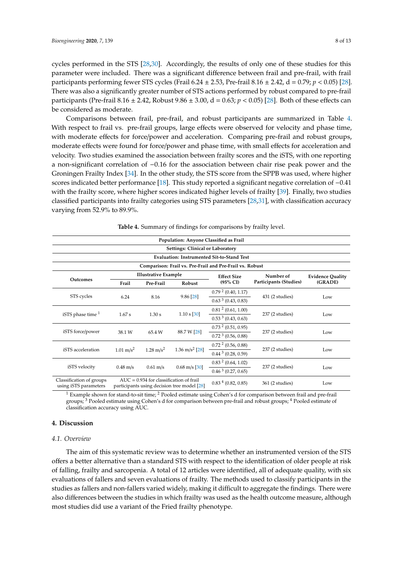cycles performed in the STS [28,30]. Accordingly, the results of only one of these studies for this parameter were included. There was a significant difference between frail and pre-frail, with frail participants performing fewer STS cycles (Frail 6.24 ± 2.53, Pre-frail 8.16 ± 2.42, d = 0.79; *p* < 0.05) [28]. There was also a significantly greater number of STS actions performed by robust compared to pre-frail participants (Pre-frail 8.16  $\pm$  2.42, Robust 9.86  $\pm$  3.00, d = 0.63;  $p < 0.05$ ) [28]. Both of these effects can be considered as moderate.

Comparisons between frail, pre-frail, and robust participants are summarized in Table 4. With respect to frail vs. pre-frail groups, large effects were observed for velocity and phase time, with moderate effects for force/power and acceleration. Comparing pre-frail and robust groups, moderate effects were found for force/power and phase time, with small effects for acceleration and velocity. Two studies examined the association between frailty scores and the iSTS, with one reporting a non-significant correlation of −0.16 for the association between chair rise peak power and the Groningen Frailty Index [34]. In the other study, the STS score from the SPPB was used, where higher scores indicated better performance [18]. This study reported a significant negative correlation of −0.41 with the frailty score, where higher scores indicated higher levels of frailty [39]. Finally, two studies classified participants into frailty categories using STS parameters [28,31], with classification accuracy varying from 52.9% to 89.9%.

| Population: Anyone Classified as Frail                   |                                                                                          |                            |                      |                      |                        |                         |
|----------------------------------------------------------|------------------------------------------------------------------------------------------|----------------------------|----------------------|----------------------|------------------------|-------------------------|
| Settings: Clinical or Laboratory                         |                                                                                          |                            |                      |                      |                        |                         |
| <b>Evaluation: Instrumented Sit-to-Stand Test</b>        |                                                                                          |                            |                      |                      |                        |                         |
| Comparison: Frail vs. Pre-Frail and Pre-Frail vs. Robust |                                                                                          |                            |                      |                      |                        |                         |
| Outcomes                                                 | <b>Illustrative Example</b>                                                              |                            |                      | <b>Effect Size</b>   | Number of              | <b>Evidence Quality</b> |
|                                                          | Frail                                                                                    | Pre-Frail                  | Robust               | $(95\% \text{ CI})$  | Participants (Studies) | (GRADE)                 |
| STS cycles                                               | 6.24<br>8.16                                                                             |                            | 9.86 [28]            | $0.792$ (0.40, 1.17) |                        | Low                     |
|                                                          |                                                                                          |                            |                      | $0.633$ (0.43, 0.83) | 431 (2 studies)        |                         |
| iSTS phase time $1$                                      | 1.67 s<br>1.30 s                                                                         |                            | 1.10 s [30]          | $0.812$ (0.61, 1.00) | $237(2$ studies)       | Low                     |
|                                                          |                                                                                          |                            |                      | $0.533$ (0.43, 0.63) |                        |                         |
| iSTS force/power                                         | 38.1 W<br>65.4 W                                                                         |                            |                      | $0.732$ (0.51, 0.95) |                        |                         |
|                                                          |                                                                                          | 88.7 W [28]                | $0.723$ (0.56, 0.88) | $237(2$ studies)     | Low                    |                         |
| iSTS acceleration                                        | $1.28 \text{ m/s}^2$<br>$1.01 \text{ m/s}^2$                                             |                            |                      | $0.722$ (0.56, 0.88) |                        |                         |
|                                                          |                                                                                          | 1.36 m/s <sup>2</sup> [28] | $0.443$ (0.28, 0.59) | 237 (2 studies)      | Low                    |                         |
| iSTS velocity                                            |                                                                                          |                            | $0.832$ (0.64, 1.02) |                      | Low                    |                         |
|                                                          | $0.48$ m/s<br>$0.61 \text{ m/s}$                                                         |                            | $0.68$ m/s [30]      | $0.463$ (0.27, 0.65) |                        | $237(2$ studies)        |
| Classification of groups<br>using iSTS parameters        | $AUC = 0.934$ for classification of frail<br>participants using decision tree model [28] |                            | $0.834$ (0.82, 0.85) | 361 (2 studies)      | Low                    |                         |

**Table 4.** Summary of findings for comparisons by frailty level.

<sup>1</sup> Example shown for stand-to-sit time; <sup>2</sup> Pooled estimate using Cohen's d for comparison between frail and pre-frail groups; <sup>3</sup> Pooled estimate using Cohen's d for comparison between pre-frail and robust groups; <sup>4</sup> Pooled estimate of classification accuracy using AUC.

# **4. Discussion**

#### *4.1. Overview*

The aim of this systematic review was to determine whether an instrumented version of the STS offers a better alternative than a standard STS with respect to the identification of older people at risk of falling, frailty and sarcopenia. A total of 12 articles were identified, all of adequate quality, with six evaluations of fallers and seven evaluations of frailty. The methods used to classify participants in the studies as fallers and non-fallers varied widely, making it difficult to aggregate the findings. There were also differences between the studies in which frailty was used as the health outcome measure, although most studies did use a variant of the Fried frailty phenotype.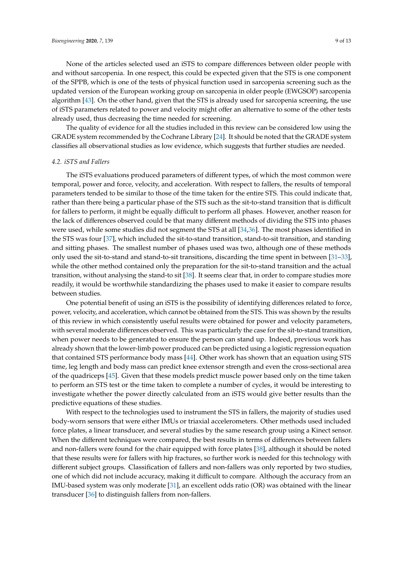None of the articles selected used an iSTS to compare differences between older people with and without sarcopenia. In one respect, this could be expected given that the STS is one component of the SPPB, which is one of the tests of physical function used in sarcopenia screening such as the updated version of the European working group on sarcopenia in older people (EWGSOP) sarcopenia algorithm [43]. On the other hand, given that the STS is already used for sarcopenia screening, the use of iSTS parameters related to power and velocity might offer an alternative to some of the other tests

The quality of evidence for all the studies included in this review can be considered low using the GRADE system recommended by the Cochrane Library [24]. It should be noted that the GRADE system classifies all observational studies as low evidence, which suggests that further studies are needed.

already used, thus decreasing the time needed for screening.

#### *4.2. iSTS and Fallers*

The iSTS evaluations produced parameters of different types, of which the most common were temporal, power and force, velocity, and acceleration. With respect to fallers, the results of temporal parameters tended to be similar to those of the time taken for the entire STS. This could indicate that, rather than there being a particular phase of the STS such as the sit-to-stand transition that is difficult for fallers to perform, it might be equally difficult to perform all phases. However, another reason for the lack of differences observed could be that many different methods of dividing the STS into phases were used, while some studies did not segment the STS at all [34,36]. The most phases identified in the STS was four [37], which included the sit-to-stand transition, stand-to-sit transition, and standing and sitting phases. The smallest number of phases used was two, although one of these methods only used the sit-to-stand and stand-to-sit transitions, discarding the time spent in between [31–33], while the other method contained only the preparation for the sit-to-stand transition and the actual transition, without analysing the stand-to sit [38]. It seems clear that, in order to compare studies more readily, it would be worthwhile standardizing the phases used to make it easier to compare results between studies.

One potential benefit of using an iSTS is the possibility of identifying differences related to force, power, velocity, and acceleration, which cannot be obtained from the STS. This was shown by the results of this review in which consistently useful results were obtained for power and velocity parameters, with several moderate differences observed. This was particularly the case for the sit-to-stand transition, when power needs to be generated to ensure the person can stand up. Indeed, previous work has already shown that the lower-limb power produced can be predicted using a logistic regression equation that contained STS performance body mass [44]. Other work has shown that an equation using STS time, leg length and body mass can predict knee extensor strength and even the cross-sectional area of the quadriceps [45]. Given that these models predict muscle power based only on the time taken to perform an STS test or the time taken to complete a number of cycles, it would be interesting to investigate whether the power directly calculated from an iSTS would give better results than the predictive equations of these studies.

With respect to the technologies used to instrument the STS in fallers, the majority of studies used body-worn sensors that were either IMUs or triaxial accelerometers. Other methods used included force plates, a linear transducer, and several studies by the same research group using a Kinect sensor. When the different techniques were compared, the best results in terms of differences between fallers and non-fallers were found for the chair equipped with force plates [38], although it should be noted that these results were for fallers with hip fractures, so further work is needed for this technology with different subject groups. Classification of fallers and non-fallers was only reported by two studies, one of which did not include accuracy, making it difficult to compare. Although the accuracy from an IMU-based system was only moderate [31], an excellent odds ratio (OR) was obtained with the linear transducer [36] to distinguish fallers from non-fallers.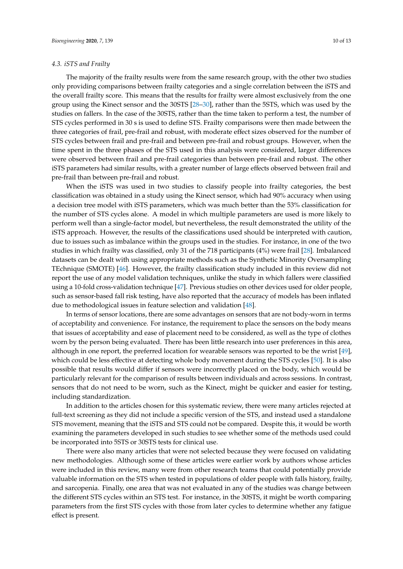#### *4.3. iSTS and Frailty*

The majority of the frailty results were from the same research group, with the other two studies only providing comparisons between frailty categories and a single correlation between the iSTS and the overall frailty score. This means that the results for frailty were almost exclusively from the one group using the Kinect sensor and the 30STS [28–30], rather than the 5STS, which was used by the studies on fallers. In the case of the 30STS, rather than the time taken to perform a test, the number of STS cycles performed in 30 s is used to define STS. Frailty comparisons were then made between the three categories of frail, pre-frail and robust, with moderate effect sizes observed for the number of STS cycles between frail and pre-frail and between pre-frail and robust groups. However, when the time spent in the three phases of the STS used in this analysis were considered, larger differences were observed between frail and pre-frail categories than between pre-frail and robust. The other iSTS parameters had similar results, with a greater number of large effects observed between frail and pre-frail than between pre-frail and robust.

When the iSTS was used in two studies to classify people into frailty categories, the best classification was obtained in a study using the Kinect sensor, which had 90% accuracy when using a decision tree model with iSTS parameters, which was much better than the 53% classification for the number of STS cycles alone. A model in which multiple parameters are used is more likely to perform well than a single-factor model, but nevertheless, the result demonstrated the utility of the iSTS approach. However, the results of the classifications used should be interpreted with caution, due to issues such as imbalance within the groups used in the studies. For instance, in one of the two studies in which frailty was classified, only 31 of the 718 participants (4%) were frail [28]. Imbalanced datasets can be dealt with using appropriate methods such as the Synthetic Minority Oversampling TEchnique (SMOTE) [46]. However, the frailty classification study included in this review did not report the use of any model validation techniques, unlike the study in which fallers were classified using a 10-fold cross-validation technique [47]. Previous studies on other devices used for older people, such as sensor-based fall risk testing, have also reported that the accuracy of models has been inflated due to methodological issues in feature selection and validation [48].

In terms of sensor locations, there are some advantages on sensors that are not body-worn in terms of acceptability and convenience. For instance, the requirement to place the sensors on the body means that issues of acceptability and ease of placement need to be considered, as well as the type of clothes worn by the person being evaluated. There has been little research into user preferences in this area, although in one report, the preferred location for wearable sensors was reported to be the wrist [49], which could be less effective at detecting whole body movement during the STS cycles [50]. It is also possible that results would differ if sensors were incorrectly placed on the body, which would be particularly relevant for the comparison of results between individuals and across sessions. In contrast, sensors that do not need to be worn, such as the Kinect, might be quicker and easier for testing, including standardization.

In addition to the articles chosen for this systematic review, there were many articles rejected at full-text screening as they did not include a specific version of the STS, and instead used a standalone STS movement, meaning that the iSTS and STS could not be compared. Despite this, it would be worth examining the parameters developed in such studies to see whether some of the methods used could be incorporated into 5STS or 30STS tests for clinical use.

There were also many articles that were not selected because they were focused on validating new methodologies. Although some of these articles were earlier work by authors whose articles were included in this review, many were from other research teams that could potentially provide valuable information on the STS when tested in populations of older people with falls history, frailty, and sarcopenia. Finally, one area that was not evaluated in any of the studies was change between the different STS cycles within an STS test. For instance, in the 30STS, it might be worth comparing parameters from the first STS cycles with those from later cycles to determine whether any fatigue effect is present.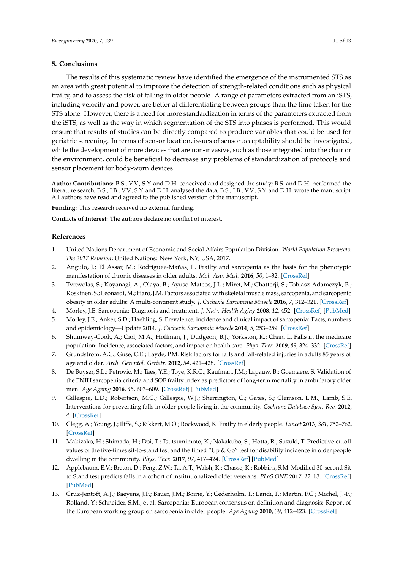## **5. Conclusions**

The results of this systematic review have identified the emergence of the instrumented STS as an area with great potential to improve the detection of strength-related conditions such as physical frailty, and to assess the risk of falling in older people. A range of parameters extracted from an iSTS, including velocity and power, are better at differentiating between groups than the time taken for the STS alone. However, there is a need for more standardization in terms of the parameters extracted from the iSTS, as well as the way in which segmentation of the STS into phases is performed. This would ensure that results of studies can be directly compared to produce variables that could be used for geriatric screening. In terms of sensor location, issues of sensor acceptability should be investigated, while the development of more devices that are non-invasive, such as those integrated into the chair or the environment, could be beneficial to decrease any problems of standardization of protocols and sensor placement for body-worn devices.

**Author Contributions:** B.S., V.V., S.Y. and D.H. conceived and designed the study; B.S. and D.H. performed the literature search, B.S., J.B., V.V., S.Y. and D.H. analysed the data; B.S., J.B., V.V., S.Y. and D.H. wrote the manuscript. All authors have read and agreed to the published version of the manuscript.

**Funding:** This research received no external funding.

**Conflicts of Interest:** The authors declare no conflict of interest.

#### **References**

- 1. United Nations Department of Economic and Social Affairs Population Division. *World Population Prospects: The 2017 Revision*; United Nations: New York, NY, USA, 2017.
- 2. Angulo, J.; El Assar, M.; Rodríguez-Mañas, L. Frailty and sarcopenia as the basis for the phenotypic manifestation of chronic diseases in older adults. *Mol. Asp. Med.* **2016**, *50*, 1–32. [CrossRef]
- 3. Tyrovolas, S.; Koyanagi, A.; Olaya, B.; Ayuso-Mateos, J.L.; Miret, M.; Chatterji, S.; Tobiasz-Adamczyk, B.; Koskinen, S.; Leonardi, M.; Haro, J.M. Factors associated with skeletal muscle mass, sarcopenia, and sarcopenic obesity in older adults: A multi-continent study. *J. Cachexia Sarcopenia Muscle* **2016**, *7*, 312–321. [CrossRef]
- 4. Morley, J.E. Sarcopenia: Diagnosis and treatment. *J. Nutr. Health Aging* **2008**, *12*, 452. [CrossRef] [PubMed]
- 5. Morley, J.E.; Anker, S.D.; Haehling, S. Prevalence, incidence and clinical impact of sarcopenia: Facts, numbers and epidemiology—Update 2014. *J. Cachexia Sarcopenia Muscle* **2014**, *5*, 253–259. [CrossRef]
- 6. Shumway-Cook, A.; Ciol, M.A.; Hoffman, J.; Dudgeon, B.J.; Yorkston, K.; Chan, L. Falls in the medicare population: Incidence, associated factors, and impact on health care. *Phys. Ther.* **2009**, *89*, 324–332. [CrossRef]
- 7. Grundstrom, A.C.; Guse, C.E.; Layde, P.M. Risk factors for falls and fall-related injuries in adults 85 years of age and older. *Arch. Gerontol. Geriatr.* **2012**, *54*, 421–428. [CrossRef]
- 8. De Buyser, S.L.; Petrovic, M.; Taes, Y.E.; Toye, K.R.C.; Kaufman, J.M.; Lapauw, B.; Goemaere, S. Validation of the FNIH sarcopenia criteria and SOF frailty index as predictors of long-term mortality in ambulatory older men. *Age Ageing* **2016**, *45*, 603–609. [CrossRef] [PubMed]
- 9. Gillespie, L.D.; Robertson, M.C.; Gillespie, W.J.; Sherrington, C.; Gates, S.; Clemson, L.M.; Lamb, S.E. Interventions for preventing falls in older people living in the community. *Cochrane Database Syst. Rev.* **2012**, *4*. [CrossRef]
- 10. Clegg, A.; Young, J.; Iliffe, S.; Rikkert, M.O.; Rockwood, K. Frailty in elderly people. *Lancet* **2013**, *381*, 752–762. [CrossRef]
- 11. Makizako, H.; Shimada, H.; Doi, T.; Tsutsumimoto, K.; Nakakubo, S.; Hotta, R.; Suzuki, T. Predictive cutoff values of the five-times sit-to-stand test and the timed "Up & Go" test for disability incidence in older people dwelling in the community. *Phys. Ther.* **2017**, *97*, 417–424. [CrossRef] [PubMed]
- 12. Applebaum, E.V.; Breton, D.; Feng, Z.W.; Ta, A.T.; Walsh, K.; Chasse, K.; Robbins, S.M. Modified 30-second Sit to Stand test predicts falls in a cohort of institutionalized older veterans. *PLoS ONE* **2017**, *12*, 13. [CrossRef] [PubMed]
- 13. Cruz-Jentoft, A.J.; Baeyens, J.P.; Bauer, J.M.; Boirie, Y.; Cederholm, T.; Landi, F.; Martin, F.C.; Michel, J.-P.; Rolland, Y.; Schneider, S.M.; et al. Sarcopenia: European consensus on definition and diagnosis: Report of the European working group on sarcopenia in older people. *Age Ageing* **2010**, *39*, 412–423. [CrossRef]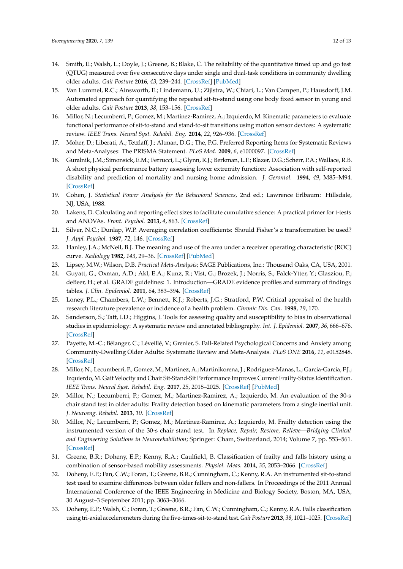- 14. Smith, E.; Walsh, L.; Doyle, J.; Greene, B.; Blake, C. The reliability of the quantitative timed up and go test (QTUG) measured over five consecutive days under single and dual-task conditions in community dwelling older adults. *Gait Posture* **2016**, *43*, 239–244. [CrossRef] [PubMed]
- 15. Van Lummel, R.C.; Ainsworth, E.; Lindemann, U.; Zijlstra, W.; Chiari, L.; Van Campen, P.; Hausdorff, J.M. Automated approach for quantifying the repeated sit-to-stand using one body fixed sensor in young and older adults. *Gait Posture* **2013**, *38*, 153–156. [CrossRef]
- 16. Millor, N.; Lecumberri, P.; Gomez, M.; Martinez-Ramirez, A.; Izquierdo, M. Kinematic parameters to evaluate functional performance of sit-to-stand and stand-to-sit transitions using motion sensor devices: A systematic review. *IEEE Trans. Neural Syst. Rehabil. Eng.* **2014**, *22*, 926–936. [CrossRef]
- 17. Moher, D.; Liberati, A.; Tetzlaff, J.; Altman, D.G.; The, P.G. Preferred Reporting Items for Systematic Reviews and Meta-Analyses: The PRISMA Statement. *PLoS Med.* **2009**, *6*, e1000097. [CrossRef]
- 18. Guralnik, J.M.; Simonsick, E.M.; Ferrucci, L.; Glynn, R.J.; Berkman, L.F.; Blazer, D.G.; Scherr, P.A.; Wallace, R.B. A short physical performance battery assessing lower extremity function: Association with self-reported disability and prediction of mortality and nursing home admission. *J. Gerontol.* **1994**, *49*, M85–M94. [CrossRef]
- 19. Cohen, J. *Statistical Power Analysis for the Behavioral Sciences*, 2nd ed.; Lawrence Erlbaum: Hillsdale, NJ, USA, 1988.
- 20. Lakens, D. Calculating and reporting effect sizes to facilitate cumulative science: A practical primer for t-tests and ANOVAs. *Front. Psychol.* **2013**, *4*, 863. [CrossRef]
- 21. Silver, N.C.; Dunlap, W.P. Averaging correlation coefficients: Should Fisher's z transformation be used? *J. Appl. Psychol.* **1987**, *72*, 146. [CrossRef]
- 22. Hanley, J.A.; McNeil, B.J. The meaning and use of the area under a receiver operating characteristic (ROC) curve. *Radiology* **1982**, *143*, 29–36. [CrossRef] [PubMed]
- 23. Lipsey, M.W.; Wilson, D.B. *Practical Meta-Analysis*; SAGE Publications, Inc.: Thousand Oaks, CA, USA, 2001.
- 24. Guyatt, G.; Oxman, A.D.; Akl, E.A.; Kunz, R.; Vist, G.; Brozek, J.; Norris, S.; Falck-Ytter, Y.; Glasziou, P.; deBeer, H.; et al. GRADE guidelines: 1. Introduction—GRADE evidence profiles and summary of findings tables. *J. Clin. Epidemiol.* **2011**, *64*, 383–394. [CrossRef]
- 25. Loney, P.L.; Chambers, L.W.; Bennett, K.J.; Roberts, J.G.; Stratford, P.W. Critical appraisal of the health research literature prevalence or incidence of a health problem. *Chronic Dis. Can.* **1998**, *19*, 170.
- 26. Sanderson, S.; Tatt, I.D.; Higgins, J. Tools for assessing quality and susceptibility to bias in observational studies in epidemiology: A systematic review and annotated bibliography. *Int. J. Epidemiol.* **2007**, *36*, 666–676. [CrossRef]
- 27. Payette, M.-C.; Bélanger, C.; Léveillé, V.; Grenier, S. Fall-Related Psychological Concerns and Anxiety among Community-Dwelling Older Adults: Systematic Review and Meta-Analysis. *PLoS ONE* **2016**, *11*, e0152848. [CrossRef]
- 28. Millor, N.; Lecumberri, P.; Gomez, M.; Martinez, A.; Martinikorena, J.; Rodriguez-Manas, L.; Garcia-Garcia, F.J.; Izquierdo, M. Gait Velocity and Chair Sit-Stand-Sit Performance Improves Current Frailty-Status Identification. *IEEE Trans. Neural Syst. Rehabil. Eng.* **2017**, *25*, 2018–2025. [CrossRef] [PubMed]
- 29. Millor, N.; Lecumberri, P.; Gomez, M.; Martinez-Ramirez, A.; Izquierdo, M. An evaluation of the 30-s chair stand test in older adults: Frailty detection based on kinematic parameters from a single inertial unit. *J. Neuroeng. Rehabil.* **2013**, *10*. [CrossRef]
- 30. Millor, N.; Lecumberri, P.; Gomez, M.; Martinez-Ramirez, A.; Izquierdo, M. Frailty detection using the instrumented version of the 30-s chair stand test. In *Replace, Repair, Restore, Relieve—Bridging Clinical and Engineering Solutions in Neurorehabilition*; Springer: Cham, Switzerland, 2014; Volume 7, pp. 553–561. [CrossRef]
- 31. Greene, B.R.; Doheny, E.P.; Kenny, R.A.; Caulfield, B. Classification of frailty and falls history using a combination of sensor-based mobility assessments. *Physiol. Meas.* **2014**, *35*, 2053–2066. [CrossRef]
- 32. Doheny, E.P.; Fan, C.W.; Foran, T.; Greene, B.R.; Cunningham, C.; Kenny, R.A. An instrumented sit-to-stand test used to examine differences between older fallers and non-fallers. In Proceedings of the 2011 Annual International Conference of the IEEE Engineering in Medicine and Biology Society, Boston, MA, USA, 30 August–3 September 2011; pp. 3063–3066.
- 33. Doheny, E.P.; Walsh, C.; Foran, T.; Greene, B.R.; Fan, C.W.; Cunningham, C.; Kenny, R.A. Falls classification using tri-axial accelerometers during the five-times-sit-to-stand test. *Gait Posture* **2013**, *38*, 1021–1025. [CrossRef]